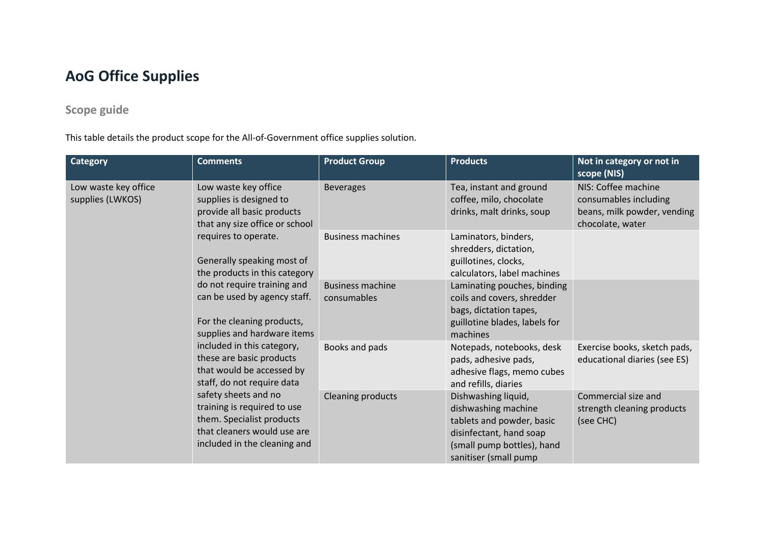## **AoG Office Supplies**

## **Scope guide**

This table details the product scope for the All-of-Government office supplies solution.

| <b>Category</b>                          | <b>Comments</b>                                                                                                                                 | <b>Product Group</b>                   | <b>Products</b>                                                                                                                                           | Not in category or not in<br>scope (NIS)                                                        |
|------------------------------------------|-------------------------------------------------------------------------------------------------------------------------------------------------|----------------------------------------|-----------------------------------------------------------------------------------------------------------------------------------------------------------|-------------------------------------------------------------------------------------------------|
| Low waste key office<br>supplies (LWKOS) | Low waste key office<br>supplies is designed to<br>provide all basic products<br>that any size office or school                                 | <b>Beverages</b>                       | Tea, instant and ground<br>coffee, milo, chocolate<br>drinks, malt drinks, soup                                                                           | NIS: Coffee machine<br>consumables including<br>beans, milk powder, vending<br>chocolate, water |
|                                          | requires to operate.<br>Generally speaking most of<br>the products in this category                                                             | <b>Business machines</b>               | Laminators, binders,<br>shredders, dictation,<br>guillotines, clocks,<br>calculators, label machines                                                      |                                                                                                 |
|                                          | do not require training and<br>can be used by agency staff.<br>For the cleaning products,<br>supplies and hardware items                        | <b>Business machine</b><br>consumables | Laminating pouches, binding<br>coils and covers, shredder<br>bags, dictation tapes,<br>guillotine blades, labels for<br>machines                          |                                                                                                 |
|                                          | included in this category,<br>these are basic products<br>that would be accessed by<br>staff, do not require data                               | Books and pads                         | Notepads, notebooks, desk<br>pads, adhesive pads,<br>adhesive flags, memo cubes<br>and refills, diaries                                                   | Exercise books, sketch pads,<br>educational diaries (see ES)                                    |
|                                          | safety sheets and no<br>training is required to use<br>them. Specialist products<br>that cleaners would use are<br>included in the cleaning and | <b>Cleaning products</b>               | Dishwashing liquid,<br>dishwashing machine<br>tablets and powder, basic<br>disinfectant, hand soap<br>(small pump bottles), hand<br>sanitiser (small pump | Commercial size and<br>strength cleaning products<br>(see CHC)                                  |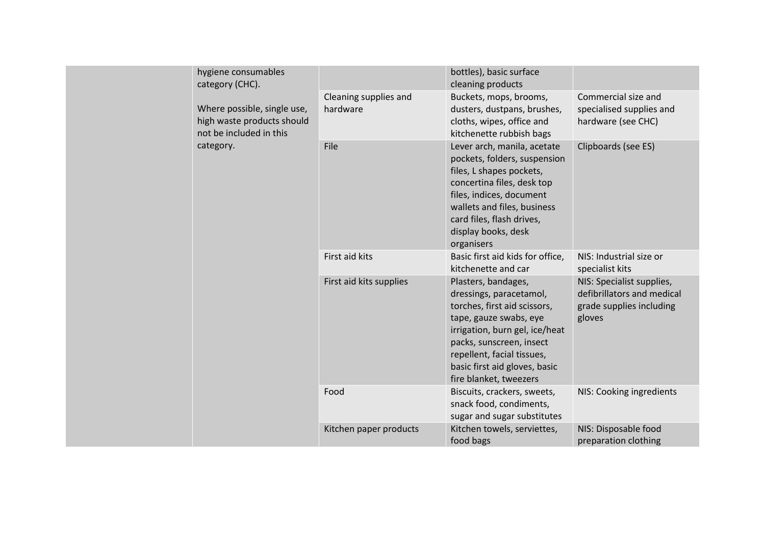|  | hygiene consumables<br>category (CHC).                                               |                                   | bottles), basic surface<br>cleaning products                                                                                                                                                                                                                    |                                                                                               |
|--|--------------------------------------------------------------------------------------|-----------------------------------|-----------------------------------------------------------------------------------------------------------------------------------------------------------------------------------------------------------------------------------------------------------------|-----------------------------------------------------------------------------------------------|
|  | Where possible, single use,<br>high waste products should<br>not be included in this | Cleaning supplies and<br>hardware | Buckets, mops, brooms,<br>dusters, dustpans, brushes,<br>cloths, wipes, office and<br>kitchenette rubbish bags                                                                                                                                                  | Commercial size and<br>specialised supplies and<br>hardware (see CHC)                         |
|  | category.                                                                            | File                              | Lever arch, manila, acetate<br>pockets, folders, suspension<br>files, L shapes pockets,<br>concertina files, desk top<br>files, indices, document<br>wallets and files, business<br>card files, flash drives,<br>display books, desk<br>organisers              | Clipboards (see ES)                                                                           |
|  |                                                                                      | First aid kits                    | Basic first aid kids for office,<br>kitchenette and car                                                                                                                                                                                                         | NIS: Industrial size or<br>specialist kits                                                    |
|  |                                                                                      | First aid kits supplies           | Plasters, bandages,<br>dressings, paracetamol,<br>torches, first aid scissors,<br>tape, gauze swabs, eye<br>irrigation, burn gel, ice/heat<br>packs, sunscreen, insect<br>repellent, facial tissues,<br>basic first aid gloves, basic<br>fire blanket, tweezers | NIS: Specialist supplies,<br>defibrillators and medical<br>grade supplies including<br>gloves |
|  |                                                                                      | Food                              | Biscuits, crackers, sweets,<br>snack food, condiments,<br>sugar and sugar substitutes                                                                                                                                                                           | NIS: Cooking ingredients                                                                      |
|  |                                                                                      | Kitchen paper products            | Kitchen towels, serviettes,<br>food bags                                                                                                                                                                                                                        | NIS: Disposable food<br>preparation clothing                                                  |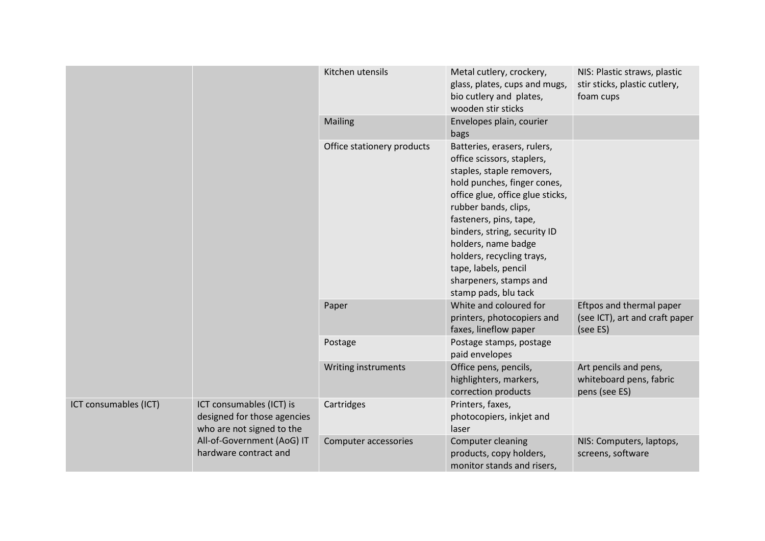|                       |                                                                                      | Kitchen utensils           | Metal cutlery, crockery,<br>glass, plates, cups and mugs,<br>bio cutlery and plates,<br>wooden stir sticks                                                                                                                                                                                                                                                                | NIS: Plastic straws, plastic<br>stir sticks, plastic cutlery,<br>foam cups |
|-----------------------|--------------------------------------------------------------------------------------|----------------------------|---------------------------------------------------------------------------------------------------------------------------------------------------------------------------------------------------------------------------------------------------------------------------------------------------------------------------------------------------------------------------|----------------------------------------------------------------------------|
|                       |                                                                                      | <b>Mailing</b>             | Envelopes plain, courier<br>bags                                                                                                                                                                                                                                                                                                                                          |                                                                            |
|                       |                                                                                      | Office stationery products | Batteries, erasers, rulers,<br>office scissors, staplers,<br>staples, staple removers,<br>hold punches, finger cones,<br>office glue, office glue sticks,<br>rubber bands, clips,<br>fasteners, pins, tape,<br>binders, string, security ID<br>holders, name badge<br>holders, recycling trays,<br>tape, labels, pencil<br>sharpeners, stamps and<br>stamp pads, blu tack |                                                                            |
|                       |                                                                                      | Paper                      | White and coloured for<br>printers, photocopiers and<br>faxes, lineflow paper                                                                                                                                                                                                                                                                                             | Eftpos and thermal paper<br>(see ICT), art and craft paper<br>(see ES)     |
|                       |                                                                                      | Postage                    | Postage stamps, postage<br>paid envelopes                                                                                                                                                                                                                                                                                                                                 |                                                                            |
|                       |                                                                                      | Writing instruments        | Office pens, pencils,<br>highlighters, markers,<br>correction products                                                                                                                                                                                                                                                                                                    | Art pencils and pens,<br>whiteboard pens, fabric<br>pens (see ES)          |
| ICT consumables (ICT) | ICT consumables (ICT) is<br>designed for those agencies<br>who are not signed to the | Cartridges                 | Printers, faxes,<br>photocopiers, inkjet and<br>laser                                                                                                                                                                                                                                                                                                                     |                                                                            |
|                       | All-of-Government (AoG) IT<br>hardware contract and                                  | Computer accessories       | Computer cleaning<br>products, copy holders,<br>monitor stands and risers,                                                                                                                                                                                                                                                                                                | NIS: Computers, laptops,<br>screens, software                              |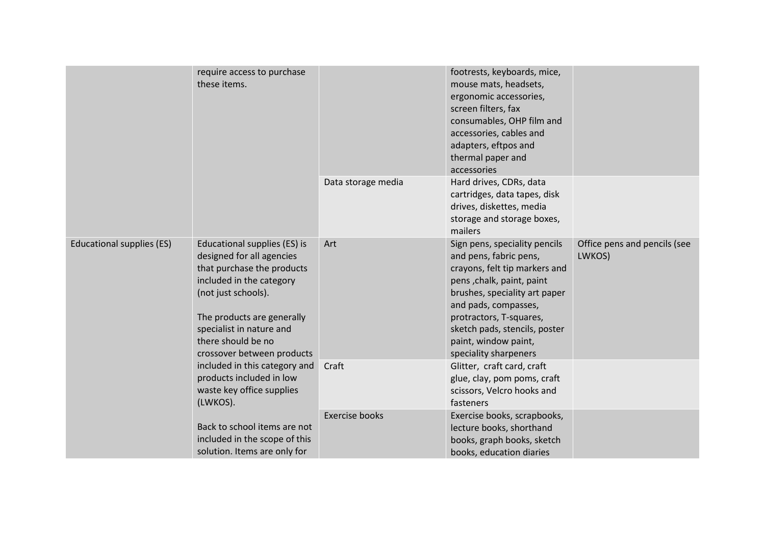|                           | require access to purchase<br>these items.                                                                                                                                                                                                               |                       | footrests, keyboards, mice,<br>mouse mats, headsets,<br>ergonomic accessories,<br>screen filters, fax<br>consumables, OHP film and<br>accessories, cables and<br>adapters, eftpos and<br>thermal paper and<br>accessories                                                                   |                                        |
|---------------------------|----------------------------------------------------------------------------------------------------------------------------------------------------------------------------------------------------------------------------------------------------------|-----------------------|---------------------------------------------------------------------------------------------------------------------------------------------------------------------------------------------------------------------------------------------------------------------------------------------|----------------------------------------|
|                           |                                                                                                                                                                                                                                                          | Data storage media    | Hard drives, CDRs, data<br>cartridges, data tapes, disk<br>drives, diskettes, media<br>storage and storage boxes,<br>mailers                                                                                                                                                                |                                        |
| Educational supplies (ES) | Educational supplies (ES) is<br>designed for all agencies<br>that purchase the products<br>included in the category<br>(not just schools).<br>The products are generally<br>specialist in nature and<br>there should be no<br>crossover between products | Art                   | Sign pens, speciality pencils<br>and pens, fabric pens,<br>crayons, felt tip markers and<br>pens, chalk, paint, paint<br>brushes, speciality art paper<br>and pads, compasses,<br>protractors, T-squares,<br>sketch pads, stencils, poster<br>paint, window paint,<br>speciality sharpeners | Office pens and pencils (see<br>LWKOS) |
|                           | included in this category and<br>products included in low<br>waste key office supplies<br>(LWKOS).                                                                                                                                                       | Craft                 | Glitter, craft card, craft<br>glue, clay, pom poms, craft<br>scissors, Velcro hooks and<br>fasteners                                                                                                                                                                                        |                                        |
|                           | Back to school items are not<br>included in the scope of this<br>solution. Items are only for                                                                                                                                                            | <b>Exercise books</b> | Exercise books, scrapbooks,<br>lecture books, shorthand<br>books, graph books, sketch<br>books, education diaries                                                                                                                                                                           |                                        |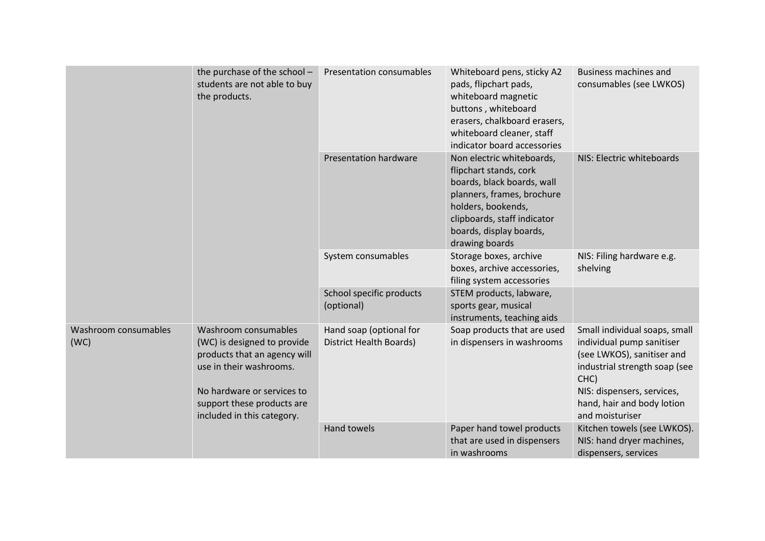|  |                              | the purchase of the school -<br>students are not able to buy<br>the products.                                                                                                                            | Presentation consumables                           | Whiteboard pens, sticky A2<br>pads, flipchart pads,<br>whiteboard magnetic<br>buttons, whiteboard<br>erasers, chalkboard erasers,<br>whiteboard cleaner, staff<br>indicator board accessories                     | <b>Business machines and</b><br>consumables (see LWKOS)                                                                                                                                                          |
|--|------------------------------|----------------------------------------------------------------------------------------------------------------------------------------------------------------------------------------------------------|----------------------------------------------------|-------------------------------------------------------------------------------------------------------------------------------------------------------------------------------------------------------------------|------------------------------------------------------------------------------------------------------------------------------------------------------------------------------------------------------------------|
|  |                              |                                                                                                                                                                                                          | <b>Presentation hardware</b>                       | Non electric whiteboards,<br>flipchart stands, cork<br>boards, black boards, wall<br>planners, frames, brochure<br>holders, bookends,<br>clipboards, staff indicator<br>boards, display boards,<br>drawing boards | NIS: Electric whiteboards                                                                                                                                                                                        |
|  |                              |                                                                                                                                                                                                          | System consumables                                 | Storage boxes, archive<br>boxes, archive accessories,<br>filing system accessories                                                                                                                                | NIS: Filing hardware e.g.<br>shelving                                                                                                                                                                            |
|  |                              |                                                                                                                                                                                                          | School specific products<br>(optional)             | STEM products, labware,<br>sports gear, musical<br>instruments, teaching aids                                                                                                                                     |                                                                                                                                                                                                                  |
|  | Washroom consumables<br>(WC) | Washroom consumables<br>(WC) is designed to provide<br>products that an agency will<br>use in their washrooms.<br>No hardware or services to<br>support these products are<br>included in this category. | Hand soap (optional for<br>District Health Boards) | Soap products that are used<br>in dispensers in washrooms                                                                                                                                                         | Small individual soaps, small<br>individual pump sanitiser<br>(see LWKOS), sanitiser and<br>industrial strength soap (see<br>CHC)<br>NIS: dispensers, services,<br>hand, hair and body lotion<br>and moisturiser |
|  |                              |                                                                                                                                                                                                          | <b>Hand towels</b>                                 | Paper hand towel products<br>that are used in dispensers<br>in washrooms                                                                                                                                          | Kitchen towels (see LWKOS).<br>NIS: hand dryer machines,<br>dispensers, services                                                                                                                                 |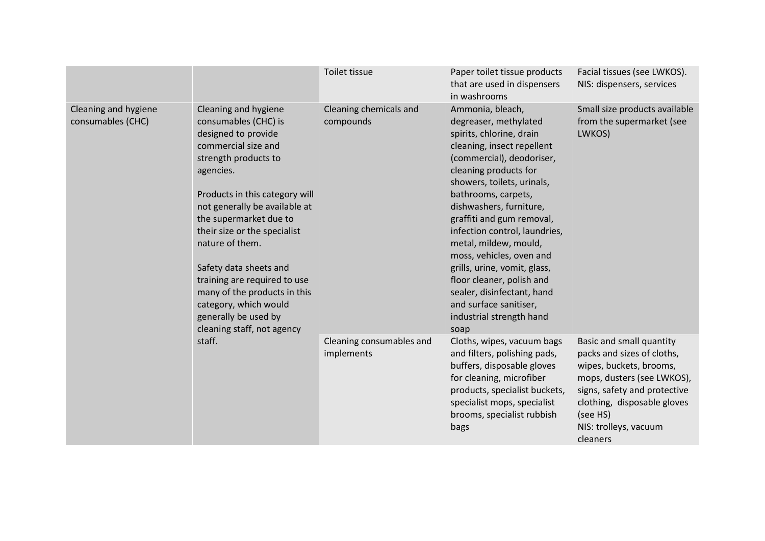|                                           |                                                                                                                                                                                                                                                                                                                                                                                                                                                          | Toilet tissue                          | Paper toilet tissue products<br>that are used in dispensers<br>in washrooms                                                                                                                                                                                                                                                                                                                                                                                                                                           | Facial tissues (see LWKOS).<br>NIS: dispensers, services                                                                                                                                                                        |
|-------------------------------------------|----------------------------------------------------------------------------------------------------------------------------------------------------------------------------------------------------------------------------------------------------------------------------------------------------------------------------------------------------------------------------------------------------------------------------------------------------------|----------------------------------------|-----------------------------------------------------------------------------------------------------------------------------------------------------------------------------------------------------------------------------------------------------------------------------------------------------------------------------------------------------------------------------------------------------------------------------------------------------------------------------------------------------------------------|---------------------------------------------------------------------------------------------------------------------------------------------------------------------------------------------------------------------------------|
| Cleaning and hygiene<br>consumables (CHC) | Cleaning and hygiene<br>consumables (CHC) is<br>designed to provide<br>commercial size and<br>strength products to<br>agencies.<br>Products in this category will<br>not generally be available at<br>the supermarket due to<br>their size or the specialist<br>nature of them.<br>Safety data sheets and<br>training are required to use<br>many of the products in this<br>category, which would<br>generally be used by<br>cleaning staff, not agency | Cleaning chemicals and<br>compounds    | Ammonia, bleach,<br>degreaser, methylated<br>spirits, chlorine, drain<br>cleaning, insect repellent<br>(commercial), deodoriser,<br>cleaning products for<br>showers, toilets, urinals,<br>bathrooms, carpets,<br>dishwashers, furniture,<br>graffiti and gum removal,<br>infection control, laundries,<br>metal, mildew, mould,<br>moss, vehicles, oven and<br>grills, urine, vomit, glass,<br>floor cleaner, polish and<br>sealer, disinfectant, hand<br>and surface sanitiser,<br>industrial strength hand<br>soap | Small size products available<br>from the supermarket (see<br>LWKOS)                                                                                                                                                            |
|                                           | staff.                                                                                                                                                                                                                                                                                                                                                                                                                                                   | Cleaning consumables and<br>implements | Cloths, wipes, vacuum bags<br>and filters, polishing pads,<br>buffers, disposable gloves<br>for cleaning, microfiber<br>products, specialist buckets,<br>specialist mops, specialist<br>brooms, specialist rubbish<br>bags                                                                                                                                                                                                                                                                                            | Basic and small quantity<br>packs and sizes of cloths,<br>wipes, buckets, brooms,<br>mops, dusters (see LWKOS),<br>signs, safety and protective<br>clothing, disposable gloves<br>(see HS)<br>NIS: trolleys, vacuum<br>cleaners |